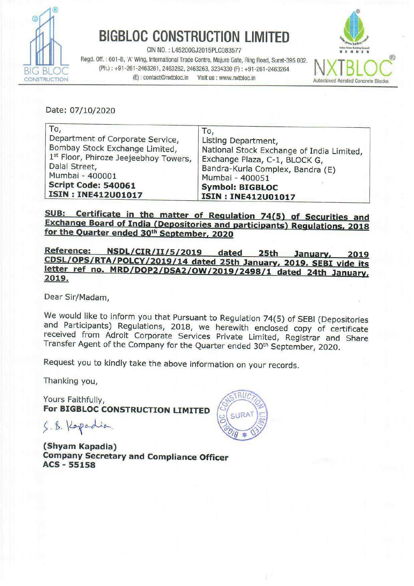

## **BIGBLOC CONSTRUCTION LIMITED**

CIN NO. : L45200GJ2015PLC083577<br>Regd. Off. : 601-B, 'A' Wing, International Trade Centre, Majura Gate, Ring Road, Surat-395 002. N. INTERNATION  $\overline{B}$ G BLOC (Ph.): +91-261-2463261, 2463262, 2463263, 3234330 (F): +91-261-2463264<br>
CONSTRUCTION (E): contact@nxtbloc.in Visit us : www.nxtbloc.in CONSTRUCTION (E): CONTACT@NXTDIOC.IN Visit us : www.nxtbloc.in Autoclaved Aerated Concrete Blocks BIGBLOC CONSTRUCK



| <b>BIGBLOC CONSTRUCTION LIMITED</b><br>CIN NO.: L45200GJ2015PLC083577<br>EMBER<br>Regd. Off.: 601-B, 'A' Wing, International Trade Centre, Majura Gate, Ring Road, Surat-395 002.<br>(Ph.): +91-261-2463261, 2463262, 2463263, 3234330 (F): +91-261-2463264<br>(E): contact@nxtbloc.in<br>Visit us : www.nxtbloc.in<br><b>UCTION</b><br><b>Autoclaved Aerated Concre</b> |                                                                                                                                                                                                                        |
|--------------------------------------------------------------------------------------------------------------------------------------------------------------------------------------------------------------------------------------------------------------------------------------------------------------------------------------------------------------------------|------------------------------------------------------------------------------------------------------------------------------------------------------------------------------------------------------------------------|
| Date: 07/10/2020                                                                                                                                                                                                                                                                                                                                                         |                                                                                                                                                                                                                        |
| To,<br>Department of Corporate Service,<br>Bombay Stock Exchange Limited,<br>1st Floor, Phiroze Jeejeebhoy Towers,<br>Dalal Street,<br>Mumbai - 400001<br>Script Code: 540061<br><b>ISIN: INE412U01017</b>                                                                                                                                                               | To,<br>Listing Department,<br>National Stock Exchange of India Limited,<br>Exchange Plaza, C-1, BLOCK G,<br>Bandra-Kurla Complex, Bandra (E)<br>Mumbai - 400051<br><b>Symbol: BIGBLOC</b><br><b>ISIN: INE412U01017</b> |

SUB: Certificate in the matter of Regulation 74(5) of Securities and Exchange Board of India (Depositories and participants) Regulations, 2018 for the Quarter ended 30<sup>th</sup> September, 2020

Reference: NSDL/CIR/II/5/2019 dated 25th January, 2019<br>CDSL/OPS/RTA/POLCY/2019/14 dated 25th January, 2019. SEBI vide its<br>letter ref\_no. MRD/DOP2/DSA2/OW/2019/2498/1 dated 24th January,<br>2019.

Dear Sir/Madam,

We would like to inform you that Pursuant to Regulation 74(5) of SEBI (Depositories and Participants) Regulations, 2018, we herewith enclosed copy of certificate received from Adroit Corporate Services Private Limited, Reg

Request you to kindly take the above information on your records.

Thanking you,

Yours Faithfully, For BIGBLOC CONSTRUCTION LIMITED

S. B. Kopadia

(Shyam Kapadia) Company Secretary and Compliance Officer ACS - 55158